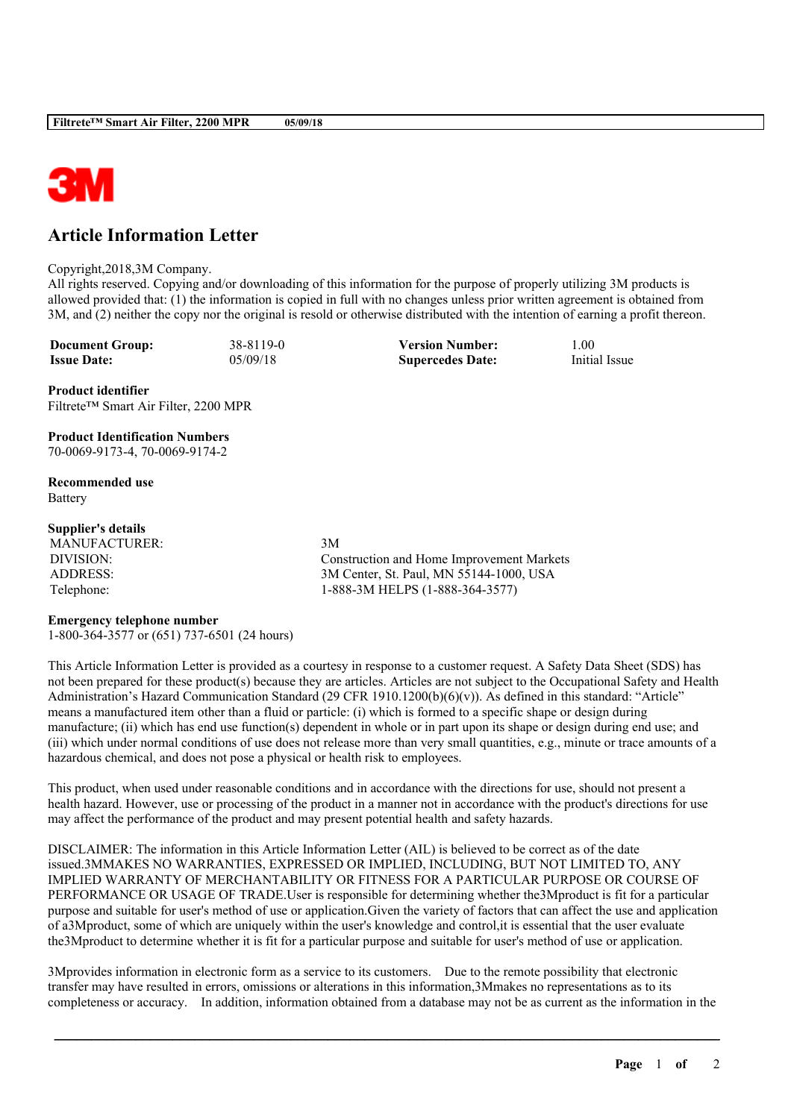

## **Article Information Letter**

## Copyright,2018,3M Company.

All rights reserved. Copying and/or downloading of this information for the purpose of properly utilizing 3M products is allowed provided that: (1) the information is copied in full with no changes unless prior written agreement is obtained from 3M, and (2) neither the copy nor the original is resold or otherwise distributed with the intention of earning a profit thereon.

**Document Group:** 38-8119-0 **Version Number:** 1.00<br> **Issue Date:** 05/09/18 **Supercedes Date:** Initial Issue **Issue Date:** 05/09/18 **Supercedes Date:** 

**Product identifier** Filtrete™ Smart Air Filter, 2200 MPR

**Product Identification Numbers** 70-0069-9173-4, 70-0069-9174-2

**Recommended use** Battery

## **Supplier's details**

MANUFACTURER: 3M

DIVISION: Construction and Home Improvement Markets ADDRESS: 3M Center, St. Paul, MN 55144-1000, USA Telephone: 1-888-3M HELPS (1-888-364-3577)

## **Emergency telephone number**

1-800-364-3577 or (651) 737-6501 (24 hours)

This Article Information Letter is provided as a courtesy in response to a customer request. A Safety Data Sheet (SDS) has not been prepared for these product(s) because they are articles. Articles are not subject to the Occupational Safety and Health Administration's Hazard Communication Standard (29 CFR 1910.1200(b)(6)(v)). As defined in this standard: "Article" means a manufactured item other than a fluid or particle: (i) which is formed to a specific shape or design during manufacture; (ii) which has end use function(s) dependent in whole or in part upon its shape or design during end use; and (iii) which under normal conditions of use does not release more than very small quantities, e.g., minute or trace amounts of a hazardous chemical, and does not pose a physical or health risk to employees.

This product, when used under reasonable conditions and in accordance with the directions for use, should not present a health hazard. However, use or processing of the product in a manner not in accordance with the product's directions for use may affect the performance of the product and may present potential health and safety hazards.

DISCLAIMER: The information in this Article Information Letter (AIL) is believed to be correct as of the date issued.3MMAKES NO WARRANTIES, EXPRESSED OR IMPLIED, INCLUDING, BUT NOT LIMITED TO, ANY IMPLIED WARRANTY OF MERCHANTABILITY OR FITNESS FOR A PARTICULAR PURPOSE OR COURSE OF PERFORMANCE OR USAGE OF TRADE.User is responsible for determining whether the3Mproduct is fit for a particular purpose and suitable for user's method of use or application.Given the variety of factors that can affect the use and application of a3Mproduct, some of which are uniquely within the user's knowledge and control,it is essential that the user evaluate the3Mproduct to determine whether it is fit for a particular purpose and suitable for user's method of use or application.

3Mprovides information in electronic form as a service to its customers. Due to the remote possibility that electronic transfer may have resulted in errors, omissions or alterations in this information,3Mmakes no representations as to its completeness or accuracy. In addition, information obtained from a database may not be as current as the information in the

\_\_\_\_\_\_\_\_\_\_\_\_\_\_\_\_\_\_\_\_\_\_\_\_\_\_\_\_\_\_\_\_\_\_\_\_\_\_\_\_\_\_\_\_\_\_\_\_\_\_\_\_\_\_\_\_\_\_\_\_\_\_\_\_\_\_\_\_\_\_\_\_\_\_\_\_\_\_\_\_\_\_\_\_\_\_\_\_\_\_